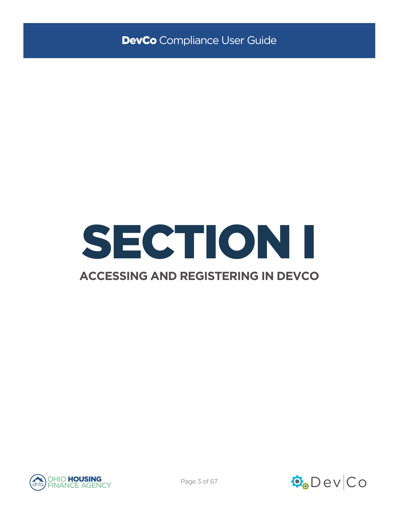

## **ACCESSING AND REGISTERING IN DEVCO**



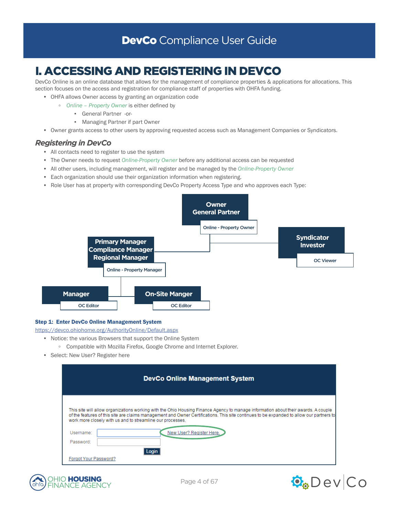# I. ACCESSING AND REGISTERING IN DEVCO

DevCo Online is an online database that allows for the management of compliance properties & applications for allocations. This section focuses on the access and registration for compliance staff of properties with OHFA funding.

- OHFA allows Owner access by granting an organization code
	- *Online Property Owner* is either defined by
		- General Partner -or-
		- Managing Partner if part Owner
- Owner grants access to other users by approving requested access such as Management Companies or Syndicators.

## *Registering in DevCo*

- All contacts need to register to use the system
- The Owner needs to request *Online-Property Owner* before any additional access can be requested
- All other users, including management, will register and be managed by the *Online-Property Owner*
- Each organization should use their organization information when registering.
- Role User has at property with corresponding DevCo Property Access Type and who approves each Type:



## Step 1: Enter DevCo Online Management System

<https://devco.ohiohome.org/AuthorityOnline/Default.aspx>

- Notice: the various Browsers that support the Online System
	- Compatible with Mozilla Firefox, Google Chrome and Internet Explorer.
- Select: New User? Register here

|                                                                                                                                                                                                                                                                                                                                              | <b>DevCo Online Management System</b> |  |  |
|----------------------------------------------------------------------------------------------------------------------------------------------------------------------------------------------------------------------------------------------------------------------------------------------------------------------------------------------|---------------------------------------|--|--|
| This site will allow organizations working with the Ohio Housing Finance Agency to manage information about their awards. A couple<br>of the features of this site are claims management and Owner Certifications. This site continues to be expanded to allow our partners to<br>work more closely with us and to streamline our processes. |                                       |  |  |
| Username:                                                                                                                                                                                                                                                                                                                                    | New User? Register Here.              |  |  |
| Password:                                                                                                                                                                                                                                                                                                                                    |                                       |  |  |
| Forgot Your Password?                                                                                                                                                                                                                                                                                                                        |                                       |  |  |



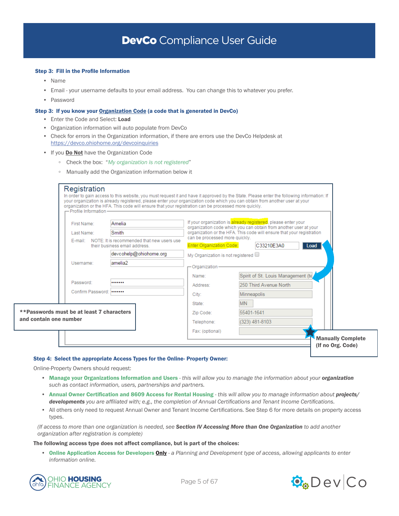### Step 3: Fill in the Profile Information

- Name
- Email your username defaults to your email address. You can change this to whatever you prefer.
- Password

### Step 3: If you know your Organization Code (a code that is generated in DevCo)

- Enter the Code and Select: Load
- Organization information will auto populate from DevCo
- Check for errors in the Organization information, if there are errors use the DevCo Helpdesk at <https://devco.ohiohome.org/devcoinquiries>
- If you **Do Not** have the Organization Code
	- Check the box: "*My organization is not registered*"
	- Manually add the Organization information below it

| Registration                              | your organization is already registered, please enter your organization code which you can obtain from another user at your<br>organization or the HFA. This code will ensure that your registration can be processed more quickly. |                                   | In order to gain access to this website, you must request it and have it approved by the State. Please enter the following information: If |
|-------------------------------------------|-------------------------------------------------------------------------------------------------------------------------------------------------------------------------------------------------------------------------------------|-----------------------------------|--------------------------------------------------------------------------------------------------------------------------------------------|
| - Profile Information-<br>First Name:     | Amelia                                                                                                                                                                                                                              |                                   | If your organization is already registered, please enter your<br>organization code which you can obtain from another user at your          |
| Last Name:                                | Smith                                                                                                                                                                                                                               | can be processed more quickly.    | organization or the HFA. This code will ensure that your registration                                                                      |
| E-mail:                                   | NOTE: It is recommended that new users use<br>their business email address.                                                                                                                                                         | <b>Enter Organization Code:</b>   | C33210E3A0<br>Load                                                                                                                         |
|                                           | devcohelp@ohiohome.org                                                                                                                                                                                                              | My Organization is not registered |                                                                                                                                            |
| Username:                                 | amelia2                                                                                                                                                                                                                             | - Organization                    |                                                                                                                                            |
|                                           |                                                                                                                                                                                                                                     | Name:                             | Spirit of St. Louis Management (te,                                                                                                        |
| Password:                                 |                                                                                                                                                                                                                                     | Address:                          | 250 Third Avenue North                                                                                                                     |
| Confirm Password:                         |                                                                                                                                                                                                                                     | City:                             | Minneapolis                                                                                                                                |
|                                           |                                                                                                                                                                                                                                     | State:                            | M <sub>N</sub>                                                                                                                             |
| **Passwords must be at least 7 characters |                                                                                                                                                                                                                                     | Zip Code:                         | 55401-1641                                                                                                                                 |
| and contain one number                    |                                                                                                                                                                                                                                     | Telephone:                        | (323) 481-8103                                                                                                                             |
|                                           |                                                                                                                                                                                                                                     | Fax: (optional)                   |                                                                                                                                            |
|                                           |                                                                                                                                                                                                                                     |                                   | <b>Manually Complete</b>                                                                                                                   |
|                                           |                                                                                                                                                                                                                                     |                                   | (If no Org. Code)                                                                                                                          |

#### Step 4: Select the appropriate Access Types for the Online- Property Owner:

Online-Property Owners should request:

- Manage your Organizations Information and Users *this will allow you to manage the information about your organization such as contact information, users, partnerships and partners.*
- Annual Owner Certification and 8609 Access for Rental Housing *this will allow you to manage information about projects/ developments you are affiliated with; e.g., the completion of Annual Certifications and Tenant Income Certifications.*
- All others only need to request Annual Owner and Tenant Income Certifications. See Step 6 for more details on property access types.

*(If access to more than one organization is needed, see Section IV Accessing More than One Organization to add another organization after registration is complete)*

The following access type does not affect compliance, but is part of the choices:

• Online Application Access for Developers Only - *a Planning and Development type of access, allowing applicants to enter information online.*



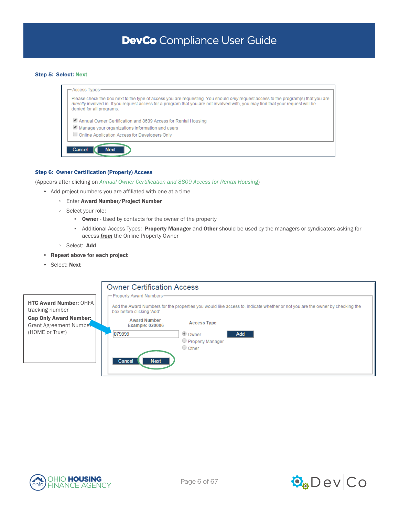### Step 5: Select: Next

| — Access Types-                                                                                                                                                                                                                                                                                   |
|---------------------------------------------------------------------------------------------------------------------------------------------------------------------------------------------------------------------------------------------------------------------------------------------------|
| Please check the box next to the type of access you are requesting. You should only request access to the program(s) that you are<br>directly involved in. If you request access for a program that you are not involved with, you may find that your request will be<br>denied for all programs. |
| Annual Owner Certification and 8609 Access for Rental Housing                                                                                                                                                                                                                                     |
| Manage your organizations information and users                                                                                                                                                                                                                                                   |
| Online Application Access for Developers Only                                                                                                                                                                                                                                                     |
|                                                                                                                                                                                                                                                                                                   |
| <b>Next</b><br>Cancel                                                                                                                                                                                                                                                                             |
|                                                                                                                                                                                                                                                                                                   |

### Step 6: Owner Certification (Property) Access

(Appears after clicking on *Annual Owner Certification and 8609 Access for Rental Housing*)

• Add project numbers you are affiliated with one at a time

- Enter Award Number/Project Number
- Select your role:
	- **Owner** Used by contacts for the owner of the property
	- **-** Additional Access Types: Property Manager and Other should be used by the managers or syndicators asking for access *from* the Online Property Owner
- Select: Add
- Repeat above for each project
- Select: Next





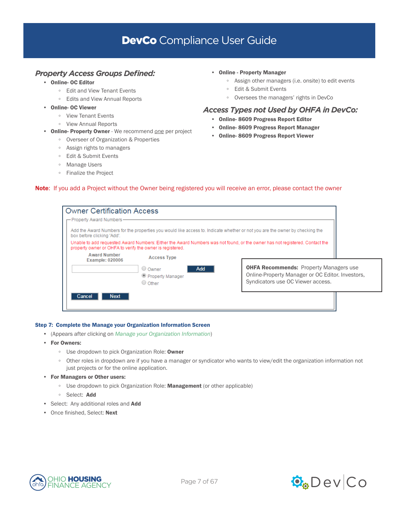## *Property Access Groups Defined:*

- Online- OC Editor
	- Edit and View Tenant Events
	- Edits and View Annual Reports
- Online- OC Viewer
	- View Tenant Events
	- View Annual Reports
- Online- Property Owner We recommend *one* per project
	- Overseer of Organization & Properties
	- Assign rights to managers
	- Edit & Submit Events
	- Manage Users
	- Finalize the Project
- Online Property Manager
	- Assign other managers (i.e. onsite) to edit events
	- Edit & Submit Events
	- Oversees the managers' rights in DevCo

## *Access Types not Used by OHFA in DevCo:*

- Online- 8609 Progress Report Editor
- Online- 8609 Progress Report Manager
- Online- 8609 Progress Report Viewer

## Note: If you add a Project without the Owner being registered you will receive an error, please contact the owner

| <b>Owner Certification Access</b>                         |                                               |                                                                                                                                        |  |
|-----------------------------------------------------------|-----------------------------------------------|----------------------------------------------------------------------------------------------------------------------------------------|--|
| - Property Award Numbers-                                 |                                               |                                                                                                                                        |  |
| box before clicking 'Add'.                                |                                               | Add the Award Numbers for the properties you would like access to, Indicate whether or not you are the owner by checking the           |  |
| property owner or OHFA to verify the owner is registered. |                                               | Unable to add requested Award Numbers: Either the Award Numbers was not found, or the owner has not registered, Contact the            |  |
| <b>Award Number</b><br><b>Example: 020006</b>             | <b>Access Type</b>                            |                                                                                                                                        |  |
|                                                           | O Owner<br>Add<br>Property Manager<br>O Other | <b>OHFA Recommends: Property Managers use</b><br>Online-Property Manager or OC Editor. Investors,<br>Syndicators use OC Viewer access. |  |
| <b>Next</b><br>Cancel                                     |                                               |                                                                                                                                        |  |

## Step 7: Complete the Manage your Organization Information Screen

- (Appears after clicking on *Manage your Organization Information*)
- For Owners:
	- Use dropdown to pick Organization Role: Owner
	- Other roles in dropdown are if you have a manager or syndicator who wants to view/edit the organization information not just projects or for the online application.
- For Managers or Other users:
	- Use dropdown to pick Organization Role: Management (or other applicable)
	- Select: Add
- Select: Any additional roles and **Add**
- Once finished, Select: Next



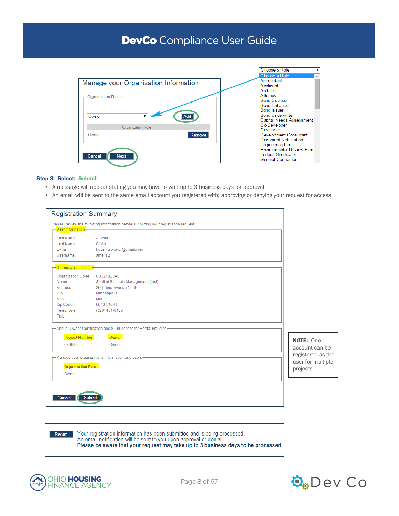

### Step 8: Select: Submit

- A message will appear stating you may have to wait up to 3 business days for approval
- An email will be sent to the same email account you registered with; approving or denying your request for access

| <b>Registration Summary</b>                                                                                                                                                                                                                                                                 |                                                                                    |
|---------------------------------------------------------------------------------------------------------------------------------------------------------------------------------------------------------------------------------------------------------------------------------------------|------------------------------------------------------------------------------------|
| Please Review the following information before submitting your registration request                                                                                                                                                                                                         |                                                                                    |
| — <mark>User Information –</mark><br>First Name:<br>Amelia<br>Last Name:<br>Smith<br>E-mail:<br>housinglocator@gmail.com<br>amelia2<br>Username:                                                                                                                                            |                                                                                    |
| <mark>⊣ Organization Details <del>–</del></mark><br>Organization Code: C33210E3A0<br>Spirit of St. Louis Management (test)<br>Name:<br>250 Third Avenue North<br>Address:<br>City:<br>Minneapolis<br><b>MN</b><br>State:<br>Zip Code:<br>55401-1641<br>Telephone:<br>(323) 481-8103<br>Fax: |                                                                                    |
| - Annual Owner Certification and 8609 Access for Rental Housing-<br>Owner<br><b>Project Number</b><br>079999<br>Owner<br>- Manage your organizations information and users-<br>Organization Role:<br>Owner                                                                                  | NOTE: One<br>account can be<br>registered as the<br>user for multiple<br>projects. |
| Cancel<br>Submit                                                                                                                                                                                                                                                                            |                                                                                    |

Your registration information has been submitted and is being processed. Return An email notification will be sent to you upon approval or denial. Please be aware that your request may take up to 3 business days to be processed.



ohfa

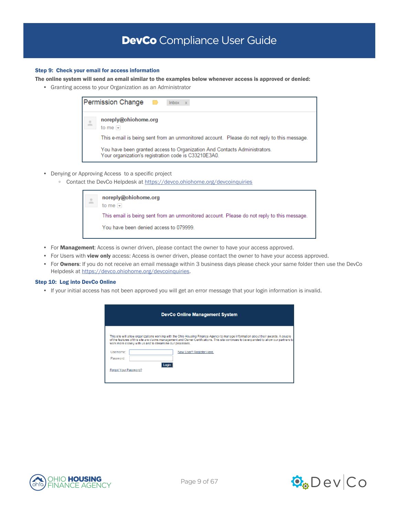### Step 9: Check your email for access information

The online system will send an email similar to the examples below whenever access is approved or denied:

• Granting access to your Organization as an Administrator

| <b>Permission Change</b><br>$lnbox \ x$                                                                                           |  |
|-----------------------------------------------------------------------------------------------------------------------------------|--|
| noreply@ohiohome.org<br>to me $\vert \mathbf{v} \vert$                                                                            |  |
| This e-mail is being sent from an unmonitored account. Please do not reply to this message.                                       |  |
| You have been granted access to Organization And Contacts Administrators.<br>Your organization's registration code is C33210E3A0. |  |

- Denying or Approving Access to a specific project
	- Contact the DevCo Helpdesk at<https://devco.ohiohome.org/devcoinquiries>

| 4 | noreply@ohiohome.org<br>to me $\sim$                                                       |  |
|---|--------------------------------------------------------------------------------------------|--|
|   | This email is being sent from an unmonitored account. Please do not reply to this message. |  |
|   | You have been denied access to 079999.                                                     |  |

- For Management: Access is owner driven, please contact the owner to have your access approved.
- For Users with view only access: Access is owner driven, please contact the owner to have your access approved.
- For Owners: If you do not receive an email message within 3 business days please check your same folder then use the DevCo Helpdesk at [https://devco.ohiohome.org/devcoinquiries.](https://devco.ohiohome.org/devcoinquiries)

#### Step 10: Log into DevCo Online

• If your initial access has not been approved you will get an error message that your login information is invalid.

|                                    | <b>DevCo Online Management System</b>                                                                                                                                                                                                                                                                                                                                    |  |  |
|------------------------------------|--------------------------------------------------------------------------------------------------------------------------------------------------------------------------------------------------------------------------------------------------------------------------------------------------------------------------------------------------------------------------|--|--|
| Username:                          | This site will allow organizations working with the Ohio Housing Finance Agency to manage information about their awards. A couple<br>of the features of this site are claims management and Owner Certifications. This site continues to be expanded to allow our partners to<br>work more closely with us and to streamline our processes.<br>New User? Register Here. |  |  |
| Password:<br>Forgot Your Password? | l ogir                                                                                                                                                                                                                                                                                                                                                                   |  |  |

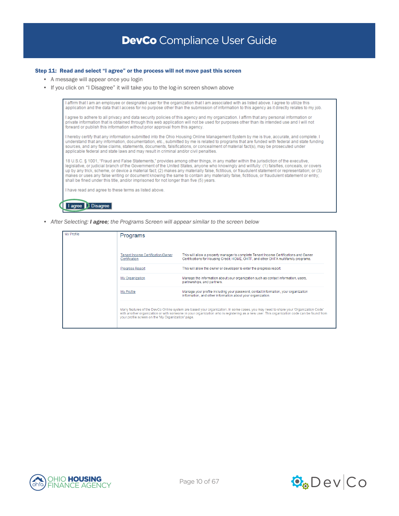### Step 11: Read and select "I agree" or the process will not move past this screen

- A message will appear once you login
- If you click on "I Disagree" it will take you to the log-in screen shown above

I affirm that I am an employee or designated user for the organization that I am associated with as listed above. I agree to utilize this application and the data that I access for no purpose other than the submission of information to this agency as it directly relates to my job.

I agree to adhere to all privacy and data security policies of this agency and my organization. I affirm that any personal information or private information that is obtained through this web application will not be used for purposes other than its intended use and I will not forward or publish this information without prior approval from this agency

I hereby certify that any information submitted into the Ohio Housing Online Management System by me is true, accurate, and complete. I increased that any information, documentation, etc., submitted by me is related to programs that are funded with federal and state funding<br>sources, and any false claims, statements, documents, falsifications, or concealmen applicable federal and state laws and may result in criminal and/or civil penalties.

18 U.S.C. § 1001, "Fraud and False Statements," provides among other things, in any matter within the jurisdiction of the executive,<br>legislative, or judicial branch of the Government of the United States, anyone who knowin makes or uses any false writing or document knowing the same to contain any materially false, fictitious, or fraudulent statement or entry; shall be fined under this title, and/or imprisoned for not longer than five (5) years.

I have read and agree to these terms as listed above.

I agree | I Disagree

*• After Selecting: I agree; the Programs Screen will appear similar to the screen below*

| My Profile | Programs                                           |                                                                                                                                                                                                                                                                                  |
|------------|----------------------------------------------------|----------------------------------------------------------------------------------------------------------------------------------------------------------------------------------------------------------------------------------------------------------------------------------|
|            |                                                    |                                                                                                                                                                                                                                                                                  |
|            | Tenant Income Certification/Owner<br>Certification | This will allow a property manager to complete Tenant Income Certifications and Owner<br>Certifications for Housing Credit, HOME, OHTF, and other OHFA multifamily programs.                                                                                                     |
|            | <b>Progress Report</b>                             | This will allow the owner or developer to enter the progress report.                                                                                                                                                                                                             |
|            | My Organization                                    | Manage the information about your organization such as contact information, users,<br>partnerships, and partners.                                                                                                                                                                |
|            | My Profile                                         | Manage your profile including your password, contact information, your organization<br>information, and other information about your organization.                                                                                                                               |
|            | your profile screen on the 'My Organization' page. | Many features of the DevCo Online system are based your organization. In some cases, you may need to share your 'Organization Code'<br>with another organization or with someone in your organization who is registering as a new user. This organization code can be found from |